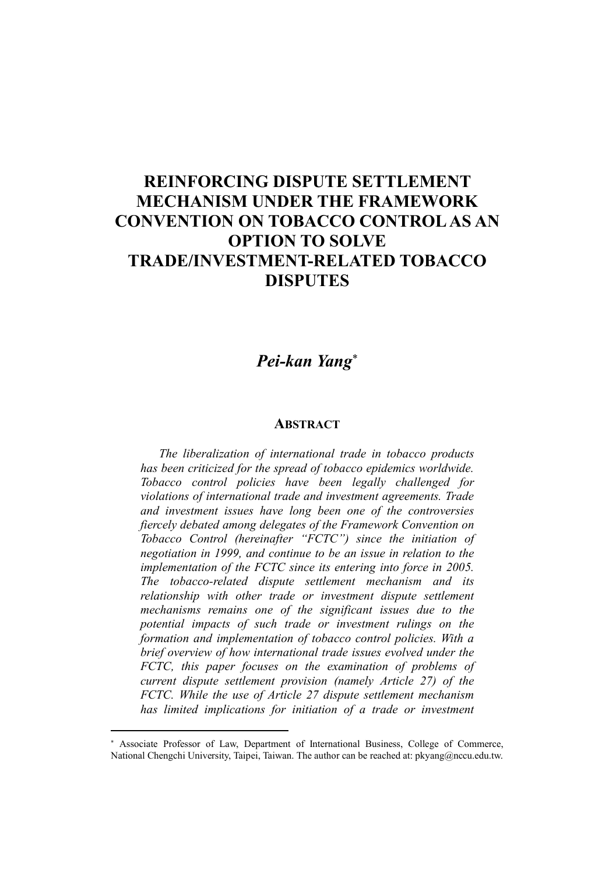## REINFORCING DISPUTE SETTLEMENT MECHANISM UNDER THE FRAMEWORK CONVENTION ON TOBACCO CONTROL AS AN OPTION TO SOLVE TRADE/INVESTMENT-RELATED TOBACCO DISPUTES

## *Pei-kan Yang*

## **ABSTRACT**

*The liberalization of international trade in tobacco products has been criticized for the spread of tobacco epidemics worldwide. Tobacco control policies have been legally challenged for violations of international trade and investment agreements. Trade and investment issues have long been one of the controversies fiercely debated among delegates of the Framework Convention on Tobacco Control (hereinafter "FCTC") since the initiation of negotiation in 1999, and continue to be an issue in relation to the implementation of the FCTC since its entering into force in 2005. The tobacco-related dispute settlement mechanism and its relationship with other trade or investment dispute settlement mechanisms remains one of the significant issues due to the potential impacts of such trade or investment rulings on the formation and implementation of tobacco control policies. With a brief overview of how international trade issues evolved under the FCTC, this paper focuses on the examination of problems of current dispute settlement provision (namely Article 27) of the FCTC. While the use of Article 27 dispute settlement mechanism has limited implications for initiation of a trade or investment* 

 $\overline{a}$ 

Associate Professor of Law, Department of International Business, College of Commerce, National Chengchi University, Taipei, Taiwan. The author can be reached at: pkyang@nccu.edu.tw.